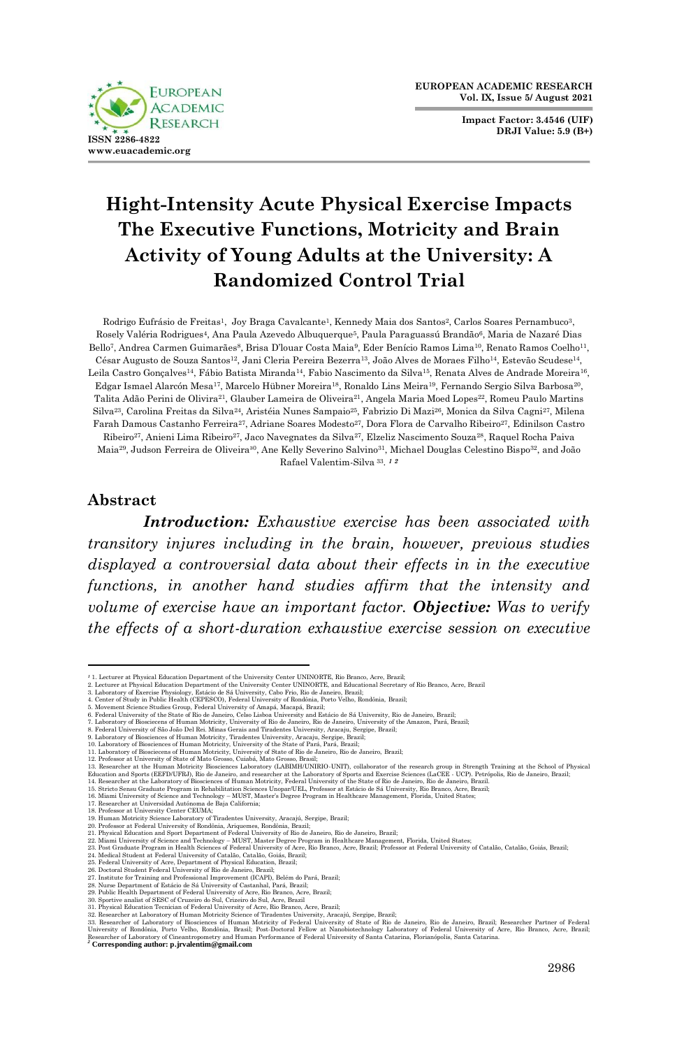

**Impact Factor: 3.4546 (UIF) DRJI Value: 5.9 (B+)**



Rodrigo Eufrásio de Freitas<sup>1</sup>, Joy Braga Cavalcante<sup>1</sup>, Kennedy Maia dos Santos<sup>2</sup>, Carlos Soares Pernambuco<sup>3</sup>. Rosely Valéria Rodrigues4, Ana Paula Azevedo Albuquerque5, Paula Paraguassú Brandão6, Maria de Nazaré Dias Bello<sup>7</sup>, Andrea Carmen Guimarães<sup>8</sup>, Brisa D'louar Costa Maia<sup>9</sup>, Eder Benício Ramos Lima<sup>10</sup>, Renato Ramos Coelho<sup>11</sup>, César Augusto de Souza Santos12, Jani Cleria Pereira Bezerra13, João Alves de Moraes Filho14, Estevão Scudese14, Leila Castro Gonçalves<sup>14</sup>, Fábio Batista Miranda<sup>14</sup>, Fabio Nascimento da Silva<sup>15</sup>, Renata Alves de Andrade Moreira<sup>16</sup>, Edgar Ismael Alarcón Mesa17, Marcelo Hübner Moreira18, Ronaldo Lins Meira19, Fernando Sergio Silva Barbosa20, Talita Adão Perini de Olivira<sup>21</sup>, Glauber Lameira de Oliveira<sup>21</sup>, Angela Maria Moed Lopes<sup>22</sup>, Romeu Paulo Martins Silva23, Carolina Freitas da Silva24, Aristéia Nunes Sampaio25, Fabrizio Di Mazi26, Monica da Silva Cagni27, Milena Farah Damous Castanho Ferreira27, Adriane Soares Modesto27, Dora Flora de Carvalho Ribeiro27, Edinilson Castro Ribeiro27, Anieni Lima Ribeiro27, Jaco Navegnates da Silva27, Elzeliz Nascimento Souza28, Raquel Rocha Paiva Maia<sup>29</sup>, Judson Ferreira de Oliveira<sup>30</sup>, Ane Kelly Severino Salvino<sup>31</sup>, Michael Douglas Celestino Bispo<sup>32</sup>, and João Rafael Valentim-Silva <sup>33</sup>. *1 2*

#### **Abstract**

**ISSN 2286-4822 www.euacademic.org**

**FUROPEAN ACADEMIC RESEARCH** 

*Introduction: Exhaustive exercise has been associated with transitory injures including in the brain, however, previous studies displayed a controversial data about their effects in in the executive functions, in another hand studies affirm that the intensity and volume of exercise have an important factor. Objective: Was to verify the effects of a short-duration exhaustive exercise session on executive* 

- 
- 5. Movement Science Studies Group, Federal University of Amapá, Macapá, Brazil; 6. Federal University of the State of Rio de Janeiro, Celso Lisboa University and Estácio de Sá University, Rio de Janeiro, Brazil;

- 
- 7. Laboratory of Biosciecens of Human Motricity, University of Rio de Janeiro, Rio de Janeiro, University of the Amazon, Pará, Brazil;<br>8. Federal University of São João Del Rei. Minas Gerais and Tiradentes University, Arac
- 
- 

28. Nurse Department of Estácio de Sá University of Castanhal, Pará, Brazil;

<sup>&</sup>lt;sup>2</sup> 1. Lecturer at Physical Education Department of the University Center UNINORTE, Rio Branco, Acre, Brazil;<br>2. Lecturer at Physical Education Department of the University Center UNINORTE, and Educational Secretary of Rio

<sup>12.</sup> Professor at University of State of Mato Grosso, Cuiabá, Mato Grosso, Brasil;<br>13. Researcher at the Human Motricity Biosciences Laboratory (LABIMH/UNIRIO-UNIT), collaborator of the research group in Strength Training a

Education and Sports (EEFD/UFRD), Rio de Janeiro, and researcher at the Laboratory of Sports and Excertise Sciencess of (AccEE - UCP). Petropolis, Rio de Janeiro, Brazil; 13. Rio de Janeiro, Brazil; 15. Rio de Janeiro, Bra

<sup>21.</sup> Physical Education and Sport Department of Federal University of Rio de Janeiro, Rio de Janeiro, Brazil;<br>22. Miami University of Science and Technology – MUST. Master Degree Program in Healthcare Management, Florida, U

<sup>29.</sup> Publie Health Department of Federal University of Acre, Ro-Rose, Brazil;<br>20. Sportive analist of SESC of Cruzeiro do Sul, Crizeiro do Sul, Arre, Brazil;<br>30. Sportive analist of SESC of Cruzeiro do Sul, Crizeiro do Sul,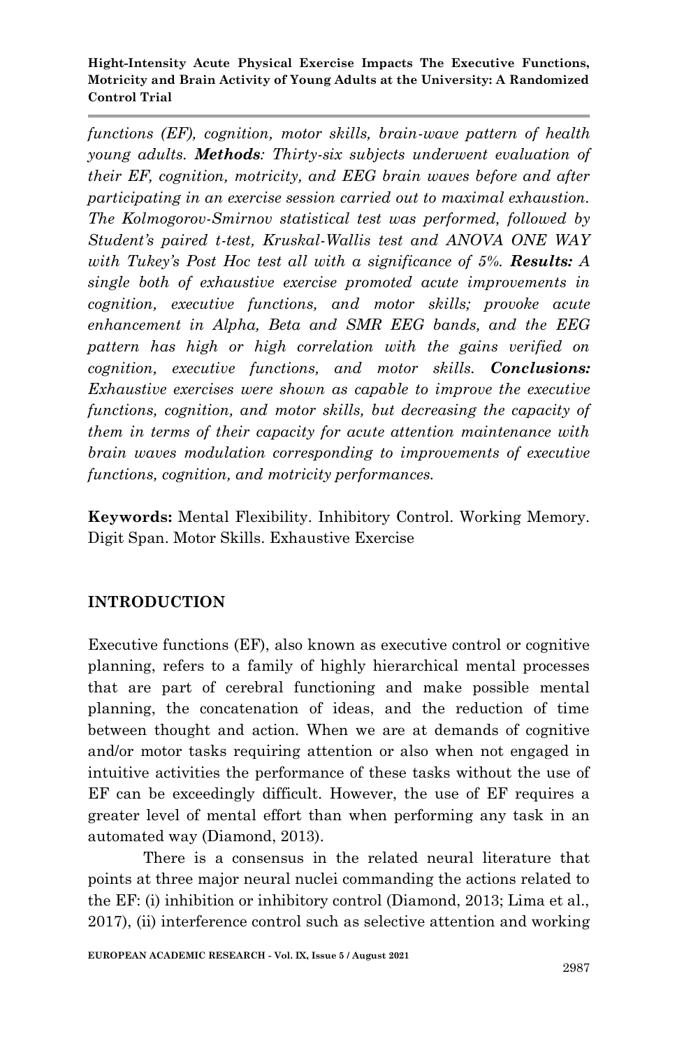*functions (EF), cognition, motor skills, brain-wave pattern of health young adults. Methods: Thirty-six subjects underwent evaluation of their EF, cognition, motricity, and EEG brain waves before and after participating in an exercise session carried out to maximal exhaustion. The Kolmogorov-Smirnov statistical test was performed, followed by Student's paired t-test, Kruskal-Wallis test and ANOVA ONE WAY with Tukey's Post Hoc test all with a significance of 5%. Results: A single both of exhaustive exercise promoted acute improvements in cognition, executive functions, and motor skills; provoke acute enhancement in Alpha, Beta and SMR EEG bands, and the EEG pattern has high or high correlation with the gains verified on cognition, executive functions, and motor skills. Conclusions: Exhaustive exercises were shown as capable to improve the executive functions, cognition, and motor skills, but decreasing the capacity of them in terms of their capacity for acute attention maintenance with brain waves modulation corresponding to improvements of executive functions, cognition, and motricity performances.*

**Keywords:** Mental Flexibility. Inhibitory Control. Working Memory. Digit Span. Motor Skills. Exhaustive Exercise

# **INTRODUCTION**

Executive functions (EF), also known as executive control or cognitive planning, refers to a family of highly hierarchical mental processes that are part of cerebral functioning and make possible mental planning, the concatenation of ideas, and the reduction of time between thought and action. When we are at demands of cognitive and/or motor tasks requiring attention or also when not engaged in intuitive activities the performance of these tasks without the use of EF can be exceedingly difficult. However, the use of EF requires a greater level of mental effort than when performing any task in an automated way (Diamond, 2013).

There is a consensus in the related neural literature that points at three major neural nuclei commanding the actions related to the EF: (i) inhibition or inhibitory control (Diamond, 2013; Lima et al., 2017), (ii) interference control such as selective attention and working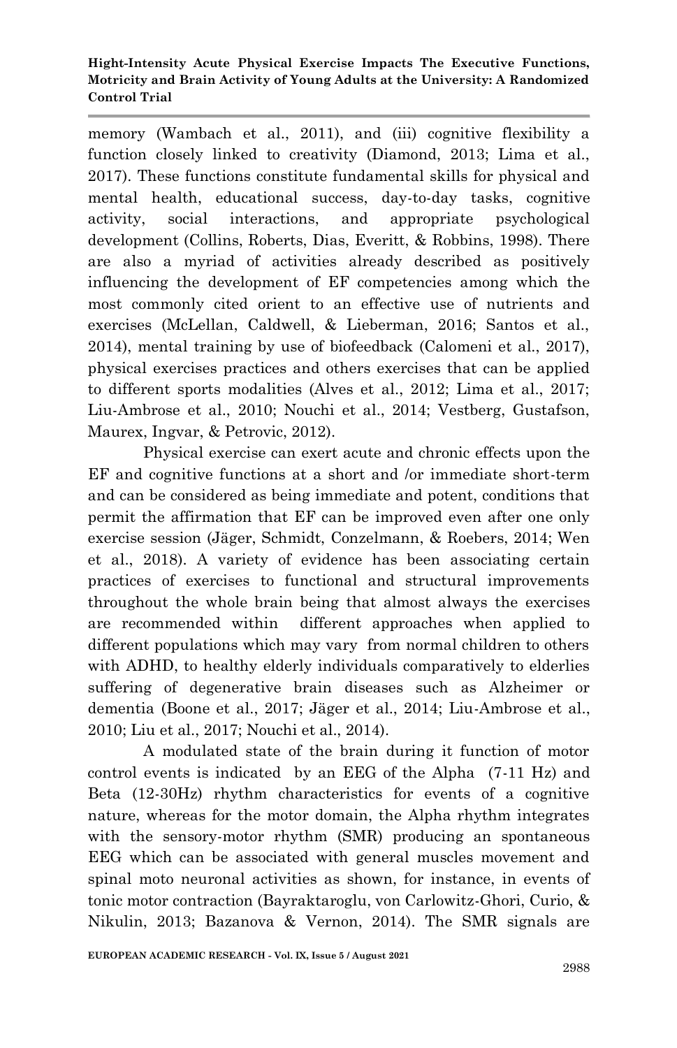memory (Wambach et al., 2011), and (iii) cognitive flexibility a function closely linked to creativity (Diamond, 2013; Lima et al., 2017). These functions constitute fundamental skills for physical and mental health, educational success, day-to-day tasks, cognitive activity, social interactions, and appropriate psychological development (Collins, Roberts, Dias, Everitt, & Robbins, 1998). There are also a myriad of activities already described as positively influencing the development of EF competencies among which the most commonly cited orient to an effective use of nutrients and exercises (McLellan, Caldwell, & Lieberman, 2016; Santos et al., 2014), mental training by use of biofeedback (Calomeni et al., 2017), physical exercises practices and others exercises that can be applied to different sports modalities (Alves et al., 2012; Lima et al., 2017; Liu-Ambrose et al., 2010; Nouchi et al., 2014; Vestberg, Gustafson, Maurex, Ingvar, & Petrovic, 2012).

Physical exercise can exert acute and chronic effects upon the EF and cognitive functions at a short and /or immediate short-term and can be considered as being immediate and potent, conditions that permit the affirmation that EF can be improved even after one only exercise session (Jäger, Schmidt, Conzelmann, & Roebers, 2014; Wen et al., 2018). A variety of evidence has been associating certain practices of exercises to functional and structural improvements throughout the whole brain being that almost always the exercises are recommended within different approaches when applied to different populations which may vary from normal children to others with ADHD, to healthy elderly individuals comparatively to elderlies suffering of degenerative brain diseases such as Alzheimer or dementia (Boone et al., 2017; Jäger et al., 2014; Liu-Ambrose et al., 2010; Liu et al., 2017; Nouchi et al., 2014).

A modulated state of the brain during it function of motor control events is indicated by an EEG of the Alpha (7-11 Hz) and Beta (12-30Hz) rhythm characteristics for events of a cognitive nature, whereas for the motor domain, the Alpha rhythm integrates with the sensory-motor rhythm (SMR) producing an spontaneous EEG which can be associated with general muscles movement and spinal moto neuronal activities as shown, for instance, in events of tonic motor contraction (Bayraktaroglu, von Carlowitz-Ghori, Curio, & Nikulin, 2013; Bazanova & Vernon, 2014). The SMR signals are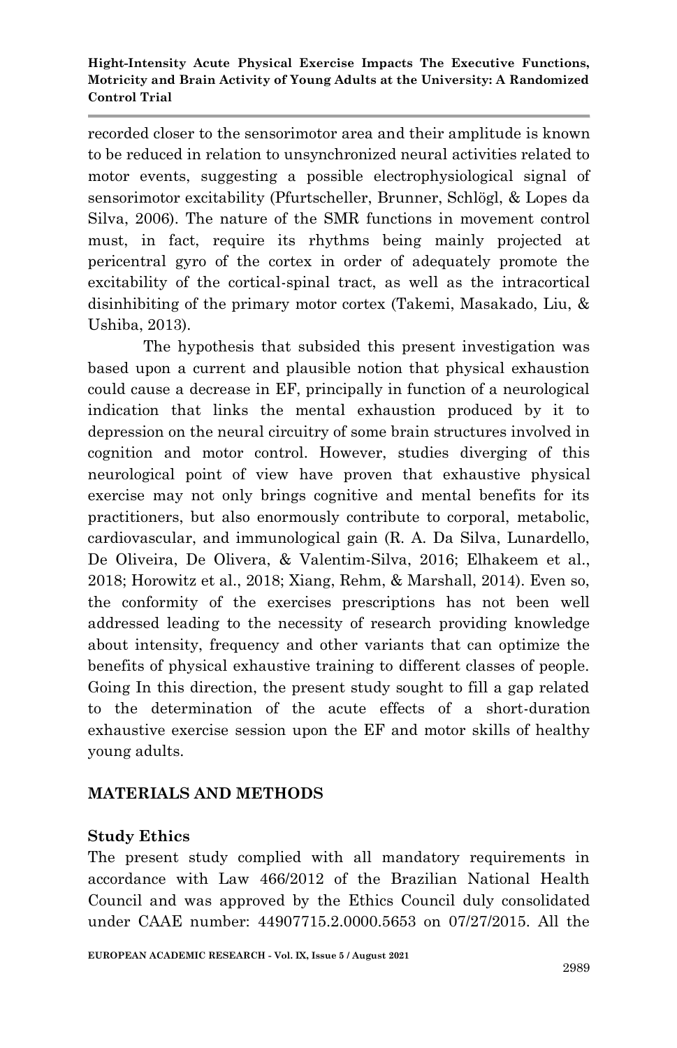recorded closer to the sensorimotor area and their amplitude is known to be reduced in relation to unsynchronized neural activities related to motor events, suggesting a possible electrophysiological signal of sensorimotor excitability (Pfurtscheller, Brunner, Schlögl, & Lopes da Silva, 2006). The nature of the SMR functions in movement control must, in fact, require its rhythms being mainly projected at pericentral gyro of the cortex in order of adequately promote the excitability of the cortical-spinal tract, as well as the intracortical disinhibiting of the primary motor cortex (Takemi, Masakado, Liu, & Ushiba, 2013).

The hypothesis that subsided this present investigation was based upon a current and plausible notion that physical exhaustion could cause a decrease in EF, principally in function of a neurological indication that links the mental exhaustion produced by it to depression on the neural circuitry of some brain structures involved in cognition and motor control. However, studies diverging of this neurological point of view have proven that exhaustive physical exercise may not only brings cognitive and mental benefits for its practitioners, but also enormously contribute to corporal, metabolic, cardiovascular, and immunological gain (R. A. Da Silva, Lunardello, De Oliveira, De Olivera, & Valentim-Silva, 2016; Elhakeem et al., 2018; Horowitz et al., 2018; Xiang, Rehm, & Marshall, 2014). Even so, the conformity of the exercises prescriptions has not been well addressed leading to the necessity of research providing knowledge about intensity, frequency and other variants that can optimize the benefits of physical exhaustive training to different classes of people. Going In this direction, the present study sought to fill a gap related to the determination of the acute effects of a short-duration exhaustive exercise session upon the EF and motor skills of healthy young adults.

# **MATERIALS AND METHODS**

# **Study Ethics**

The present study complied with all mandatory requirements in accordance with Law 466/2012 of the Brazilian National Health Council and was approved by the Ethics Council duly consolidated under CAAE number: 44907715.2.0000.5653 on 07/27/2015. All the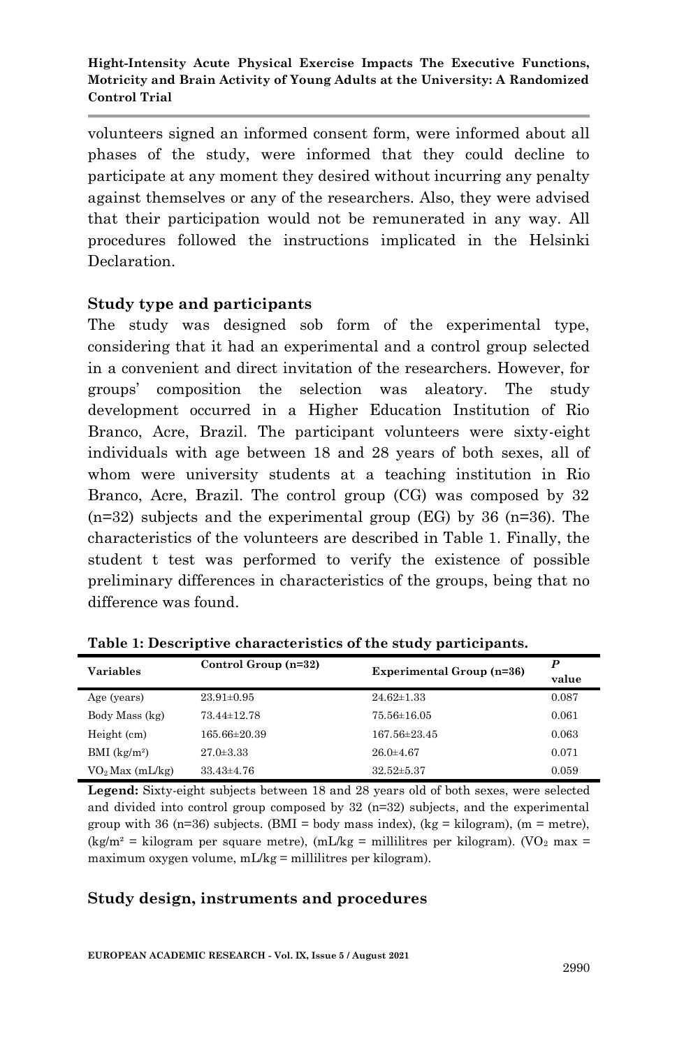volunteers signed an informed consent form, were informed about all phases of the study, were informed that they could decline to participate at any moment they desired without incurring any penalty against themselves or any of the researchers. Also, they were advised that their participation would not be remunerated in any way. All procedures followed the instructions implicated in the Helsinki Declaration.

## **Study type and participants**

The study was designed sob form of the experimental type, considering that it had an experimental and a control group selected in a convenient and direct invitation of the researchers. However, for groups' composition the selection was aleatory. The study development occurred in a Higher Education Institution of Rio Branco, Acre, Brazil. The participant volunteers were sixty-eight individuals with age between 18 and 28 years of both sexes, all of whom were university students at a teaching institution in Rio Branco, Acre, Brazil. The control group (CG) was composed by 32  $(n=32)$  subjects and the experimental group (EG) by 36  $(n=36)$ . The characteristics of the volunteers are described in Table 1. Finally, the student t test was performed to verify the existence of possible preliminary differences in characteristics of the groups, being that no difference was found.

| Variables                   | Control Group (n=32) | <b>Experimental Group (n=36)</b> | P<br>value |
|-----------------------------|----------------------|----------------------------------|------------|
| Age (years)                 | $23.91 \pm 0.95$     | $24.62 \pm 1.33$                 | 0.087      |
| Body Mass (kg)              | 73.44±12.78          | 75.56±16.05                      | 0.061      |
| Height (cm)                 | $165.66 \pm 20.39$   | $167.56 \pm 23.45$               | 0.063      |
| $BMI$ (kg/m <sup>2</sup> )  | $27.0 \pm 3.33$      | $26.0 + 4.67$                    | 0.071      |
| VO <sub>2</sub> Max (mL/kg) | $33.43 \pm 4.76$     | $32.52 \pm 5.37$                 | 0.059      |

**Table 1: Descriptive characteristics of the study participants.**

**Legend:** Sixty-eight subjects between 18 and 28 years old of both sexes, were selected and divided into control group composed by 32 (n=32) subjects, and the experimental group with 36 ( $n=36$ ) subjects. (BMI = body mass index), (kg = kilogram), ( $m =$  metre),  $(kg/m^2)$  = kilogram per square metre),  $(mL/kg)$  = millilitres per kilogram). (VO<sub>2</sub> max = maximum oxygen volume, mL/kg = millilitres per kilogram).

## **Study design, instruments and procedures**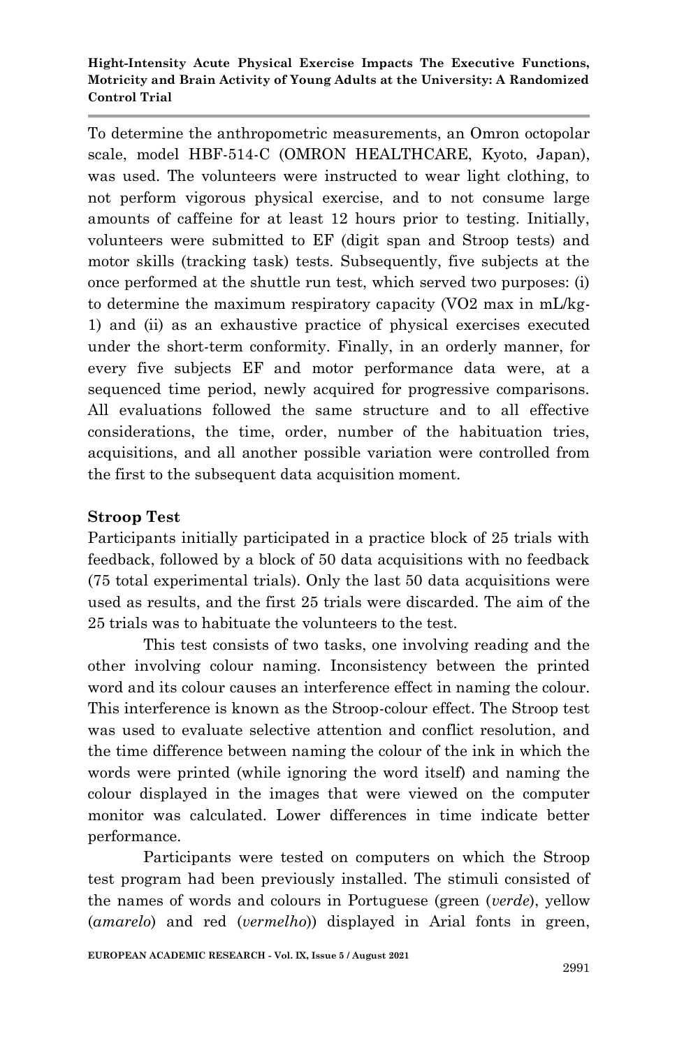To determine the anthropometric measurements, an Omron octopolar scale, model HBF-514-C (OMRON HEALTHCARE, Kyoto, Japan), was used. The volunteers were instructed to wear light clothing, to not perform vigorous physical exercise, and to not consume large amounts of caffeine for at least 12 hours prior to testing. Initially, volunteers were submitted to EF (digit span and Stroop tests) and motor skills (tracking task) tests. Subsequently, five subjects at the once performed at the shuttle run test, which served two purposes: (i) to determine the maximum respiratory capacity (VO2 max in mL/kg-1) and (ii) as an exhaustive practice of physical exercises executed under the short-term conformity. Finally, in an orderly manner, for every five subjects EF and motor performance data were, at a sequenced time period, newly acquired for progressive comparisons. All evaluations followed the same structure and to all effective considerations, the time, order, number of the habituation tries, acquisitions, and all another possible variation were controlled from the first to the subsequent data acquisition moment.

# **Stroop Test**

Participants initially participated in a practice block of 25 trials with feedback, followed by a block of 50 data acquisitions with no feedback (75 total experimental trials). Only the last 50 data acquisitions were used as results, and the first 25 trials were discarded. The aim of the 25 trials was to habituate the volunteers to the test.

This test consists of two tasks, one involving reading and the other involving colour naming. Inconsistency between the printed word and its colour causes an interference effect in naming the colour. This interference is known as the Stroop-colour effect. The Stroop test was used to evaluate selective attention and conflict resolution, and the time difference between naming the colour of the ink in which the words were printed (while ignoring the word itself) and naming the colour displayed in the images that were viewed on the computer monitor was calculated. Lower differences in time indicate better performance.

Participants were tested on computers on which the Stroop test program had been previously installed. The stimuli consisted of the names of words and colours in Portuguese (green (*verde*), yellow (*amarelo*) and red (*vermelho*)) displayed in Arial fonts in green,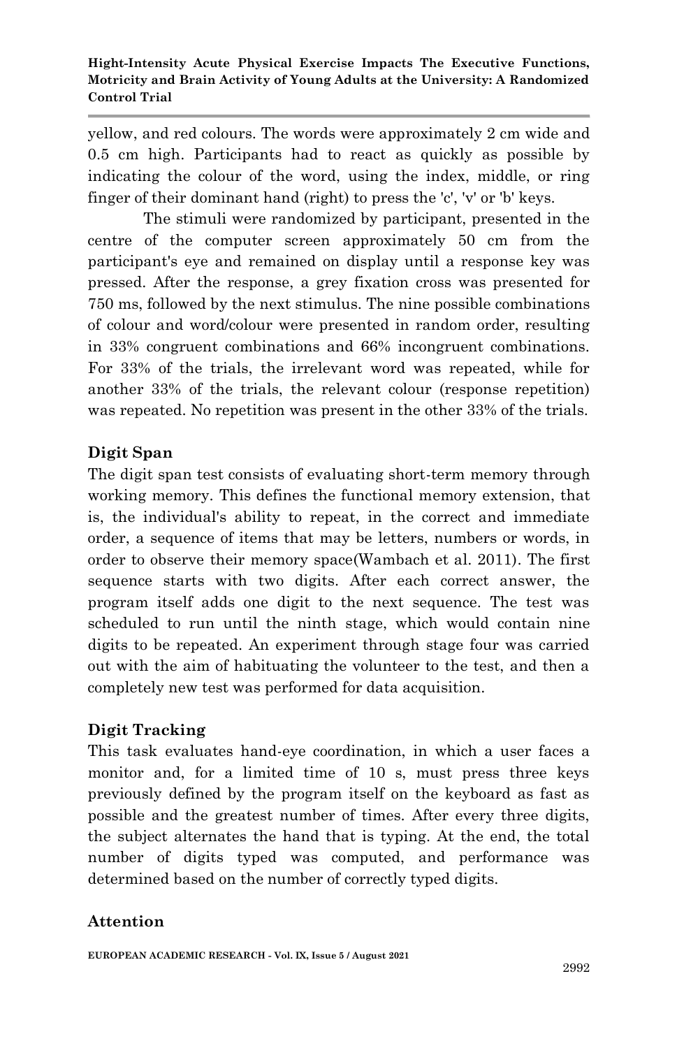yellow, and red colours. The words were approximately 2 cm wide and 0.5 cm high. Participants had to react as quickly as possible by indicating the colour of the word, using the index, middle, or ring finger of their dominant hand (right) to press the 'c', 'v' or 'b' keys.

The stimuli were randomized by participant, presented in the centre of the computer screen approximately 50 cm from the participant's eye and remained on display until a response key was pressed. After the response, a grey fixation cross was presented for 750 ms, followed by the next stimulus. The nine possible combinations of colour and word/colour were presented in random order, resulting in 33% congruent combinations and 66% incongruent combinations. For 33% of the trials, the irrelevant word was repeated, while for another 33% of the trials, the relevant colour (response repetition) was repeated. No repetition was present in the other 33% of the trials.

# **Digit Span**

The digit span test consists of evaluating short-term memory through working memory. This defines the functional memory extension, that is, the individual's ability to repeat, in the correct and immediate order, a sequence of items that may be letters, numbers or words, in order to observe their memory space(Wambach et al. 2011). The first sequence starts with two digits. After each correct answer, the program itself adds one digit to the next sequence. The test was scheduled to run until the ninth stage, which would contain nine digits to be repeated. An experiment through stage four was carried out with the aim of habituating the volunteer to the test, and then a completely new test was performed for data acquisition.

# **Digit Tracking**

This task evaluates hand-eye coordination, in which a user faces a monitor and, for a limited time of 10 s, must press three keys previously defined by the program itself on the keyboard as fast as possible and the greatest number of times. After every three digits, the subject alternates the hand that is typing. At the end, the total number of digits typed was computed, and performance was determined based on the number of correctly typed digits.

# **Attention**

**EUROPEAN ACADEMIC RESEARCH - Vol. IX, Issue 5 / August 2021**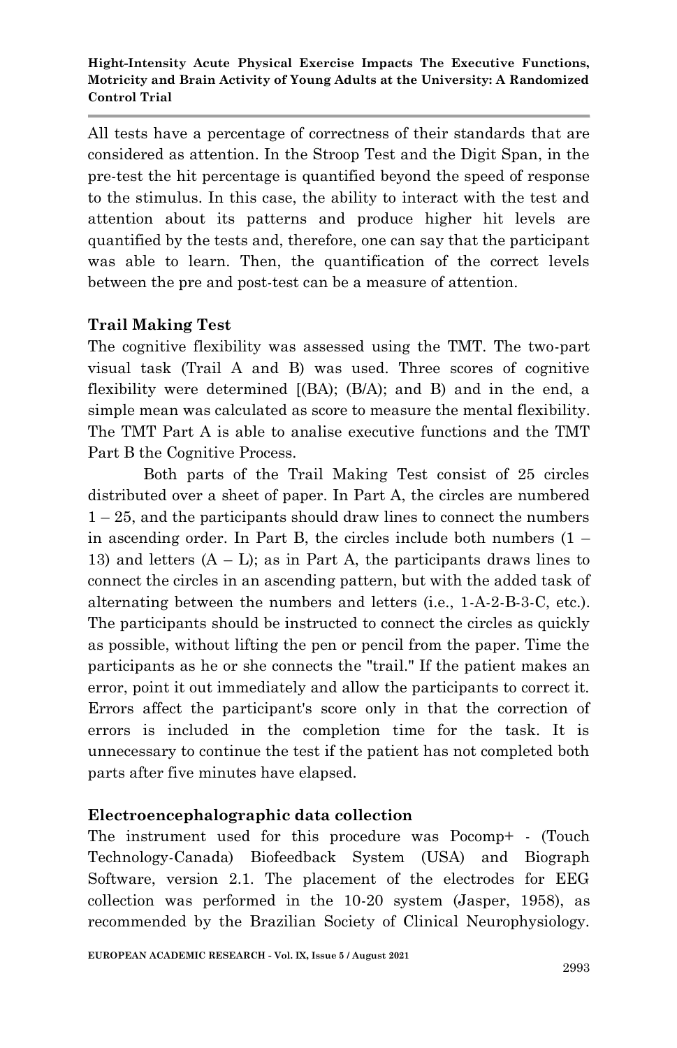All tests have a percentage of correctness of their standards that are considered as attention. In the Stroop Test and the Digit Span, in the pre-test the hit percentage is quantified beyond the speed of response to the stimulus. In this case, the ability to interact with the test and attention about its patterns and produce higher hit levels are quantified by the tests and, therefore, one can say that the participant was able to learn. Then, the quantification of the correct levels between the pre and post-test can be a measure of attention.

# **Trail Making Test**

The cognitive flexibility was assessed using the TMT. The two-part visual task (Trail A and B) was used. Three scores of cognitive flexibility were determined [(BA); (B/A); and B) and in the end, a simple mean was calculated as score to measure the mental flexibility. The TMT Part A is able to analise executive functions and the TMT Part B the Cognitive Process.

Both parts of the Trail Making Test consist of 25 circles distributed over a sheet of paper. In Part A, the circles are numbered  $1 - 25$ , and the participants should draw lines to connect the numbers in ascending order. In Part B, the circles include both numbers  $(1 -$ 13) and letters  $(A - L)$ ; as in Part A, the participants draws lines to connect the circles in an ascending pattern, but with the added task of alternating between the numbers and letters (i.e., 1-A-2-B-3-C, etc.). The participants should be instructed to connect the circles as quickly as possible, without lifting the pen or pencil from the paper. Time the participants as he or she connects the "trail." If the patient makes an error, point it out immediately and allow the participants to correct it. Errors affect the participant's score only in that the correction of errors is included in the completion time for the task. It is unnecessary to continue the test if the patient has not completed both parts after five minutes have elapsed.

## **Electroencephalographic data collection**

The instrument used for this procedure was Pocomp+ - (Touch Technology-Canada) Biofeedback System (USA) and Biograph Software, version 2.1. The placement of the electrodes for EEG collection was performed in the 10-20 system (Jasper, 1958), as recommended by the Brazilian Society of Clinical Neurophysiology.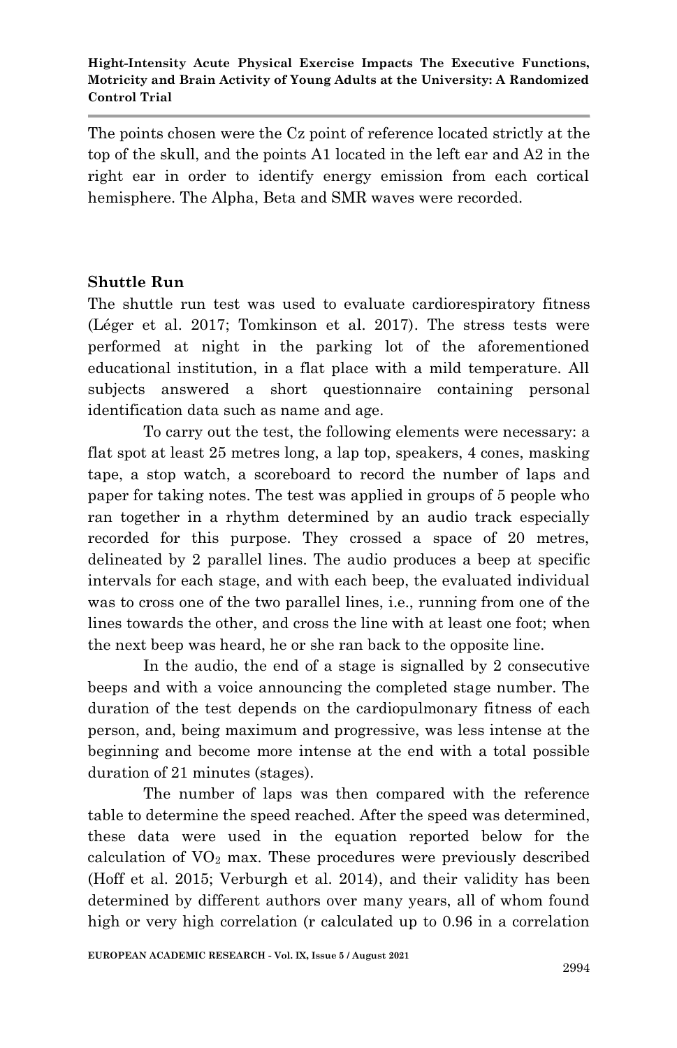The points chosen were the Cz point of reference located strictly at the top of the skull, and the points A1 located in the left ear and A2 in the right ear in order to identify energy emission from each cortical hemisphere. The Alpha, Beta and SMR waves were recorded.

## **Shuttle Run**

The shuttle run test was used to evaluate cardiorespiratory fitness (Léger et al. 2017; Tomkinson et al. 2017). The stress tests were performed at night in the parking lot of the aforementioned educational institution, in a flat place with a mild temperature. All subjects answered a short questionnaire containing personal identification data such as name and age.

To carry out the test, the following elements were necessary: a flat spot at least 25 metres long, a lap top, speakers, 4 cones, masking tape, a stop watch, a scoreboard to record the number of laps and paper for taking notes. The test was applied in groups of 5 people who ran together in a rhythm determined by an audio track especially recorded for this purpose. They crossed a space of 20 metres, delineated by 2 parallel lines. The audio produces a beep at specific intervals for each stage, and with each beep, the evaluated individual was to cross one of the two parallel lines, i.e., running from one of the lines towards the other, and cross the line with at least one foot; when the next beep was heard, he or she ran back to the opposite line.

In the audio, the end of a stage is signalled by 2 consecutive beeps and with a voice announcing the completed stage number. The duration of the test depends on the cardiopulmonary fitness of each person, and, being maximum and progressive, was less intense at the beginning and become more intense at the end with a total possible duration of 21 minutes (stages).

The number of laps was then compared with the reference table to determine the speed reached. After the speed was determined, these data were used in the equation reported below for the calculation of  $VO<sub>2</sub>$  max. These procedures were previously described (Hoff et al. 2015; Verburgh et al. 2014), and their validity has been determined by different authors over many years, all of whom found high or very high correlation (r calculated up to 0.96 in a correlation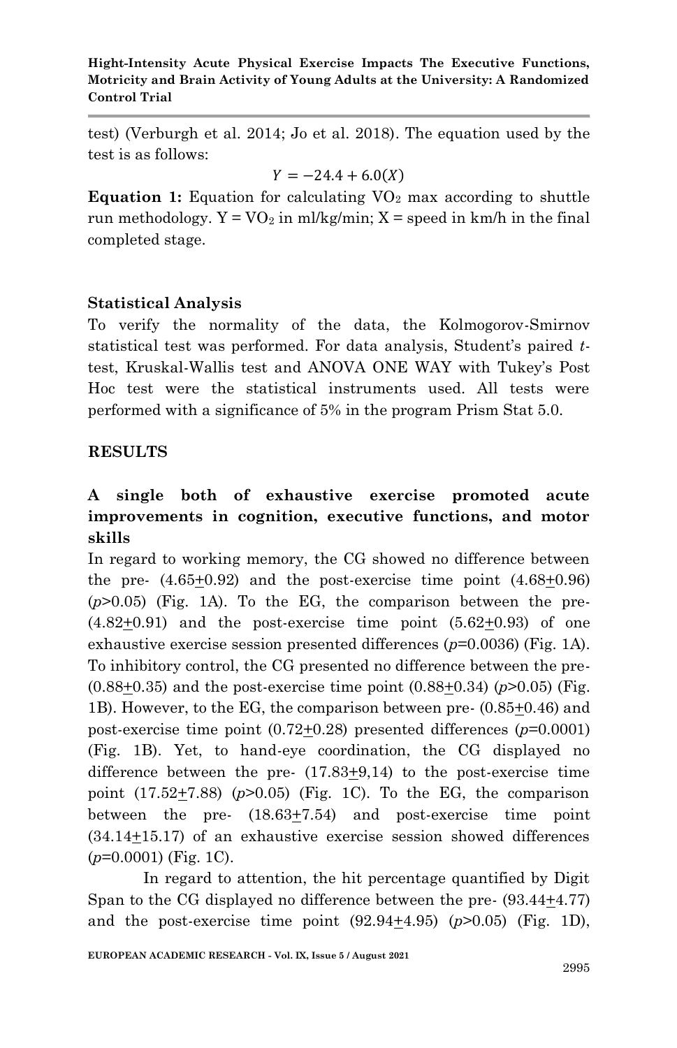test) (Verburgh et al. 2014; Jo et al. 2018). The equation used by the test is as follows:

$$
Y = -24.4 + 6.0(X)
$$

**Equation 1:** Equation for calculating  $VO<sub>2</sub>$  max according to shuttle run methodology.  $Y = VO<sub>2</sub>$  in ml/kg/min;  $X = speed$  in km/h in the final completed stage.

## **Statistical Analysis**

To verify the normality of the data, the Kolmogorov-Smirnov statistical test was performed. For data analysis, Student's paired *t*test, Kruskal-Wallis test and ANOVA ONE WAY with Tukey's Post Hoc test were the statistical instruments used. All tests were performed with a significance of 5% in the program Prism Stat 5.0.

## **RESULTS**

# **A single both of exhaustive exercise promoted acute improvements in cognition, executive functions, and motor skills**

In regard to working memory, the CG showed no difference between the pre-  $(4.65\pm0.92)$  and the post-exercise time point  $(4.68\pm0.96)$ (*p*>0.05) (Fig. 1A). To the EG, the comparison between the pre-  $(4.82\pm0.91)$  and the post-exercise time point  $(5.62\pm0.93)$  of one exhaustive exercise session presented differences ( $p=0.0036$ ) (Fig. 1A). To inhibitory control, the CG presented no difference between the pre-  $(0.88+0.35)$  and the post-exercise time point  $(0.88+0.34)$  ( $p$ >0.05) (Fig. 1B). However, to the EG, the comparison between pre- (0.85+0.46) and post-exercise time point (0.72+0.28) presented differences (*p*=0.0001) (Fig. 1B). Yet, to hand-eye coordination, the CG displayed no difference between the pre-  $(17.83\pm 9.14)$  to the post-exercise time point  $(17.52+7.88)$   $(p>0.05)$  (Fig. 1C). To the EG, the comparison between the pre-  $(18.63 \pm 7.54)$  and post-exercise time point (34.14+15.17) of an exhaustive exercise session showed differences (*p*=0.0001) (Fig. 1C).

In regard to attention, the hit percentage quantified by Digit Span to the CG displayed no difference between the pre-  $(93.44 \pm 4.77)$ and the post-exercise time point  $(92.94 \pm 4.95)$   $(p>0.05)$  (Fig. 1D),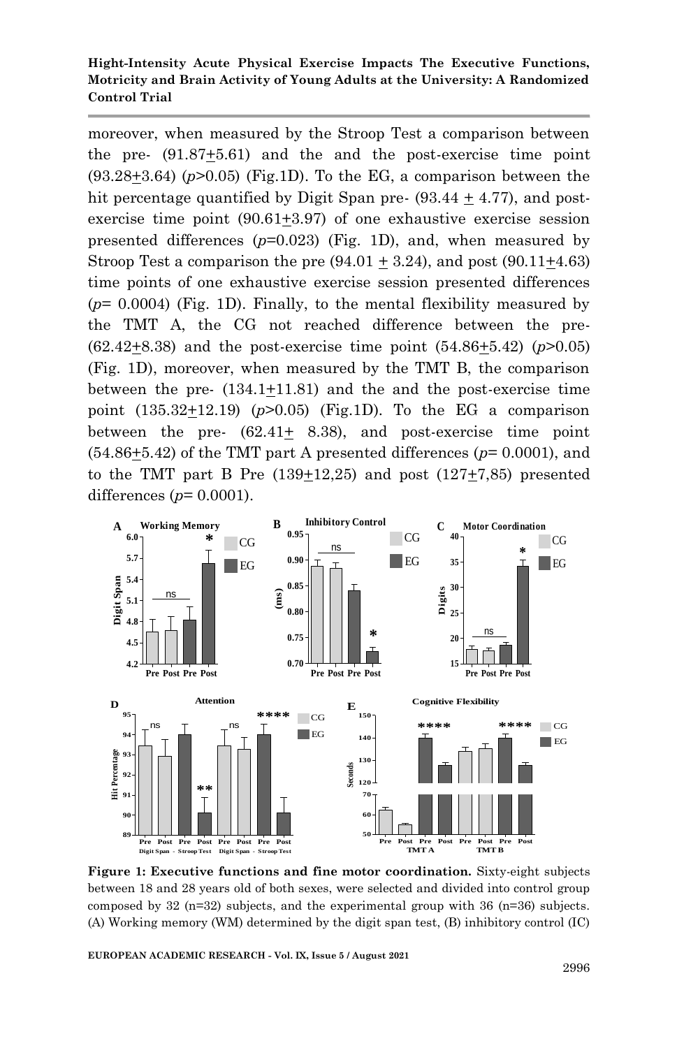moreover, when measured by the Stroop Test a comparison between the pre- (91.87+5.61) and the and the post-exercise time point  $(93.28+3.64)$   $(p>0.05)$  (Fig.1D). To the EG, a comparison between the hit percentage quantified by Digit Span pre-  $(93.44 + 4.77)$ , and postexercise time point (90.61+3.97) of one exhaustive exercise session presented differences (*p*=0.023) (Fig. 1D), and, when measured by Stroop Test a comparison the pre  $(94.01 \pm 3.24)$ , and post  $(90.11 \pm 4.63)$ time points of one exhaustive exercise session presented differences (*p*= 0.0004) (Fig. 1D). Finally, to the mental flexibility measured by the TMT A, the CG not reached difference between the pre- (62.42+8.38) and the post-exercise time point (54.86+5.42) (*p*>0.05) (Fig. 1D), moreover, when measured by the TMT B, the comparison between the pre- (134.1+11.81) and the and the post-exercise time point  $(135.32 \pm 12.19)$  ( $p > 0.05$ ) (Fig.1D). To the EG a comparison between the pre-  $(62.41 \pm 8.38)$ , and post-exercise time point (54.86+5.42) of the TMT part A presented differences (*p*= 0.0001), and to the TMT part B Pre  $(139+12,25)$  and post  $(127+7,85)$  presented differences (*p*= 0.0001).



**Figure 1: Executive functions and fine motor coordination.** Sixty-eight subjects between 18 and 28 years old of both sexes, were selected and divided into control group composed by  $32 \text{ (n=32)}$  subjects, and the experimental group with  $36 \text{ (n=36)}$  subjects. (A) Working memory (WM) determined by the digit span test, (B) inhibitory control (IC)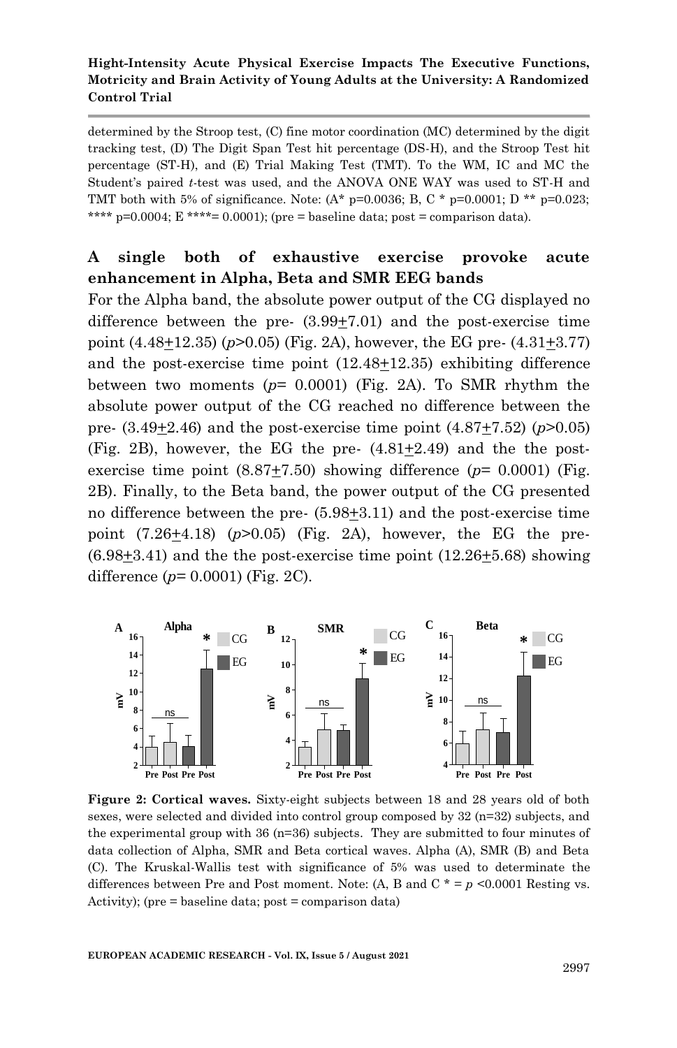determined by the Stroop test, (C) fine motor coordination (MC) determined by the digit tracking test, (D) The Digit Span Test hit percentage (DS-H), and the Stroop Test hit percentage (ST-H), and (E) Trial Making Test (TMT). To the WM, IC and MC the Student's paired *t*-test was used, and the ANOVA ONE WAY was used to ST-H and TMT both with 5% of significance. Note:  $(A^* p=0.0036; B, C^* p=0.0001; D^{**} p=0.023;$ \*\*\*\*  $p=0.0004$ ;  $E \text{***} = 0.0001$ ; (pre = baseline data; post = comparison data).

# **A single both of exhaustive exercise provoke acute enhancement in Alpha, Beta and SMR EEG bands**

For the Alpha band, the absolute power output of the CG displayed no difference between the pre-  $(3.99\pm7.01)$  and the post-exercise time point  $(4.48\pm12.35)$  ( $p>0.05$ ) (Fig. 2A), however, the EG pre-  $(4.31\pm3.77)$ and the post-exercise time point (12.48+12.35) exhibiting difference between two moments  $(p= 0.0001)$  (Fig. 2A). To SMR rhythm the absolute power output of the CG reached no difference between the pre- (3.49+2.46) and the post-exercise time point (4.87+7.52) (*p*>0.05) (Fig. 2B), however, the EG the pre- (4.81+2.49) and the the postexercise time point  $(8.87+7.50)$  showing difference  $(p= 0.0001)$  (Fig. 2B). Finally, to the Beta band, the power output of the CG presented no difference between the pre- (5.98+3.11) and the post-exercise time point  $(7.26\pm4.18)$   $(p>0.05)$  (Fig. 2A), however, the EG the pre- $(6.98\pm3.41)$  and the the post-exercise time point  $(12.26\pm5.68)$  showing difference (*p*= 0.0001) (Fig. 2C).



**Figure 2: Cortical waves.** Sixty-eight subjects between 18 and 28 years old of both sexes, were selected and divided into control group composed by 32 (n=32) subjects, and the experimental group with 36 (n=36) subjects. They are submitted to four minutes of data collection of Alpha, SMR and Beta cortical waves. Alpha (A), SMR (B) and Beta (C). The Kruskal-Wallis test with significance of 5% was used to determinate the differences between Pre and Post moment. Note: (A, B and C  $* = p \le 0.0001$  Resting vs. Activity); (pre = baseline data; post = comparison data)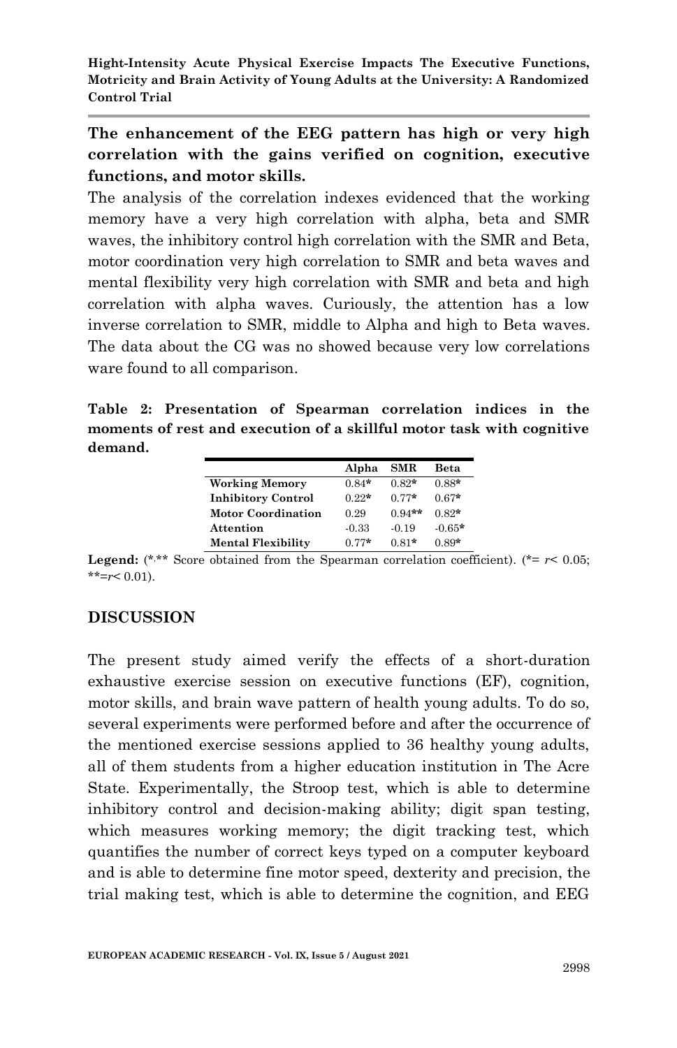**The enhancement of the EEG pattern has high or very high correlation with the gains verified on cognition, executive functions, and motor skills.**

The analysis of the correlation indexes evidenced that the working memory have a very high correlation with alpha, beta and SMR waves, the inhibitory control high correlation with the SMR and Beta, motor coordination very high correlation to SMR and beta waves and mental flexibility very high correlation with SMR and beta and high correlation with alpha waves. Curiously, the attention has a low inverse correlation to SMR, middle to Alpha and high to Beta waves. The data about the CG was no showed because very low correlations ware found to all comparison.

**Table 2: Presentation of Spearman correlation indices in the moments of rest and execution of a skillful motor task with cognitive demand.**

|                           | Alpha   | <b>SMR</b> | Beta     |
|---------------------------|---------|------------|----------|
| <b>Working Memory</b>     | $0.84*$ | $0.82*$    | $0.88*$  |
| <b>Inhibitory Control</b> | $0.22*$ | $0.77*$    | $0.67*$  |
| <b>Motor Coordination</b> | 0.29    | $0.94**$   | $0.82*$  |
| Attention                 | $-0.33$ | $-0.19$    | $-0.65*$ |
| <b>Mental Flexibility</b> | $0.77*$ | $0.81*$    | $0.89*$  |

**Legend:** (\*,\*\* Score obtained from the Spearman correlation coefficient). (\*=  $r$  < 0.05;  $*$ <sup>\*</sup> $=r$  < 0.01).

# **DISCUSSION**

The present study aimed verify the effects of a short-duration exhaustive exercise session on executive functions (EF), cognition, motor skills, and brain wave pattern of health young adults. To do so, several experiments were performed before and after the occurrence of the mentioned exercise sessions applied to 36 healthy young adults, all of them students from a higher education institution in The Acre State. Experimentally, the Stroop test, which is able to determine inhibitory control and decision-making ability; digit span testing, which measures working memory; the digit tracking test, which quantifies the number of correct keys typed on a computer keyboard and is able to determine fine motor speed, dexterity and precision, the trial making test, which is able to determine the cognition, and EEG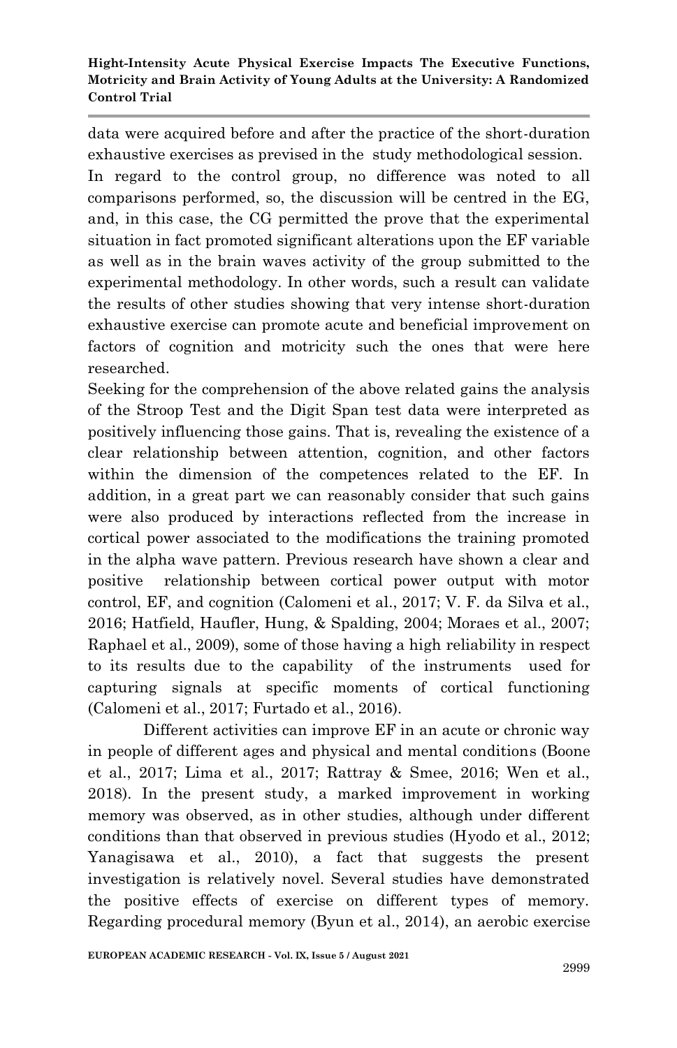data were acquired before and after the practice of the short-duration exhaustive exercises as prevised in the study methodological session. In regard to the control group, no difference was noted to all comparisons performed, so, the discussion will be centred in the EG, and, in this case, the CG permitted the prove that the experimental situation in fact promoted significant alterations upon the EF variable as well as in the brain waves activity of the group submitted to the experimental methodology. In other words, such a result can validate the results of other studies showing that very intense short-duration exhaustive exercise can promote acute and beneficial improvement on factors of cognition and motricity such the ones that were here researched.

Seeking for the comprehension of the above related gains the analysis of the Stroop Test and the Digit Span test data were interpreted as positively influencing those gains. That is, revealing the existence of a clear relationship between attention, cognition, and other factors within the dimension of the competences related to the EF. In addition, in a great part we can reasonably consider that such gains were also produced by interactions reflected from the increase in cortical power associated to the modifications the training promoted in the alpha wave pattern. Previous research have shown a clear and positive relationship between cortical power output with motor control, EF, and cognition (Calomeni et al., 2017; V. F. da Silva et al., 2016; Hatfield, Haufler, Hung, & Spalding, 2004; Moraes et al., 2007; Raphael et al., 2009), some of those having a high reliability in respect to its results due to the capability of the instruments used for capturing signals at specific moments of cortical functioning (Calomeni et al., 2017; Furtado et al., 2016).

Different activities can improve EF in an acute or chronic way in people of different ages and physical and mental conditions (Boone et al., 2017; Lima et al., 2017; Rattray & Smee, 2016; Wen et al., 2018). In the present study, a marked improvement in working memory was observed, as in other studies, although under different conditions than that observed in previous studies (Hyodo et al., 2012; Yanagisawa et al., 2010), a fact that suggests the present investigation is relatively novel. Several studies have demonstrated the positive effects of exercise on different types of memory. Regarding procedural memory (Byun et al., 2014), an aerobic exercise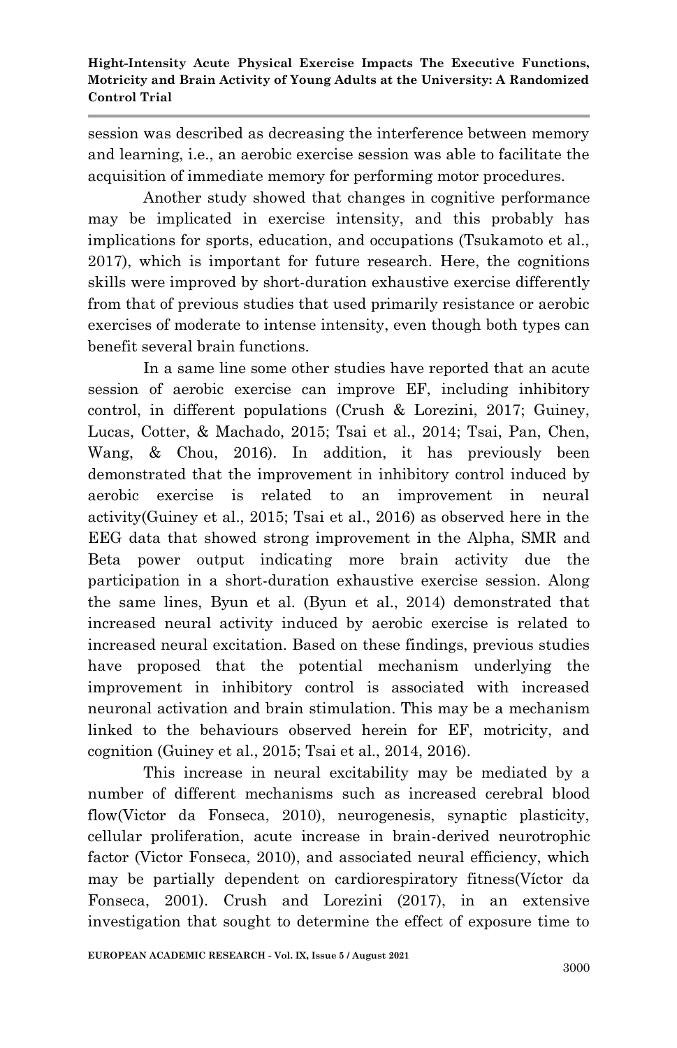session was described as decreasing the interference between memory and learning, i.e., an aerobic exercise session was able to facilitate the acquisition of immediate memory for performing motor procedures.

Another study showed that changes in cognitive performance may be implicated in exercise intensity, and this probably has implications for sports, education, and occupations (Tsukamoto et al., 2017), which is important for future research. Here, the cognitions skills were improved by short-duration exhaustive exercise differently from that of previous studies that used primarily resistance or aerobic exercises of moderate to intense intensity, even though both types can benefit several brain functions.

In a same line some other studies have reported that an acute session of aerobic exercise can improve EF, including inhibitory control, in different populations (Crush & Lorezini, 2017; Guiney, Lucas, Cotter, & Machado, 2015; Tsai et al., 2014; Tsai, Pan, Chen, Wang, & Chou, 2016). In addition, it has previously been demonstrated that the improvement in inhibitory control induced by aerobic exercise is related to an improvement in neural activity(Guiney et al., 2015; Tsai et al., 2016) as observed here in the EEG data that showed strong improvement in the Alpha, SMR and Beta power output indicating more brain activity due the participation in a short-duration exhaustive exercise session. Along the same lines, Byun et al. (Byun et al., 2014) demonstrated that increased neural activity induced by aerobic exercise is related to increased neural excitation. Based on these findings, previous studies have proposed that the potential mechanism underlying the improvement in inhibitory control is associated with increased neuronal activation and brain stimulation. This may be a mechanism linked to the behaviours observed herein for EF, motricity, and cognition (Guiney et al., 2015; Tsai et al., 2014, 2016).

This increase in neural excitability may be mediated by a number of different mechanisms such as increased cerebral blood flow(Victor da Fonseca, 2010), neurogenesis, synaptic plasticity, cellular proliferation, acute increase in brain-derived neurotrophic factor (Victor Fonseca, 2010), and associated neural efficiency, which may be partially dependent on cardiorespiratory fitness(Víctor da Fonseca, 2001). Crush and Lorezini (2017), in an extensive investigation that sought to determine the effect of exposure time to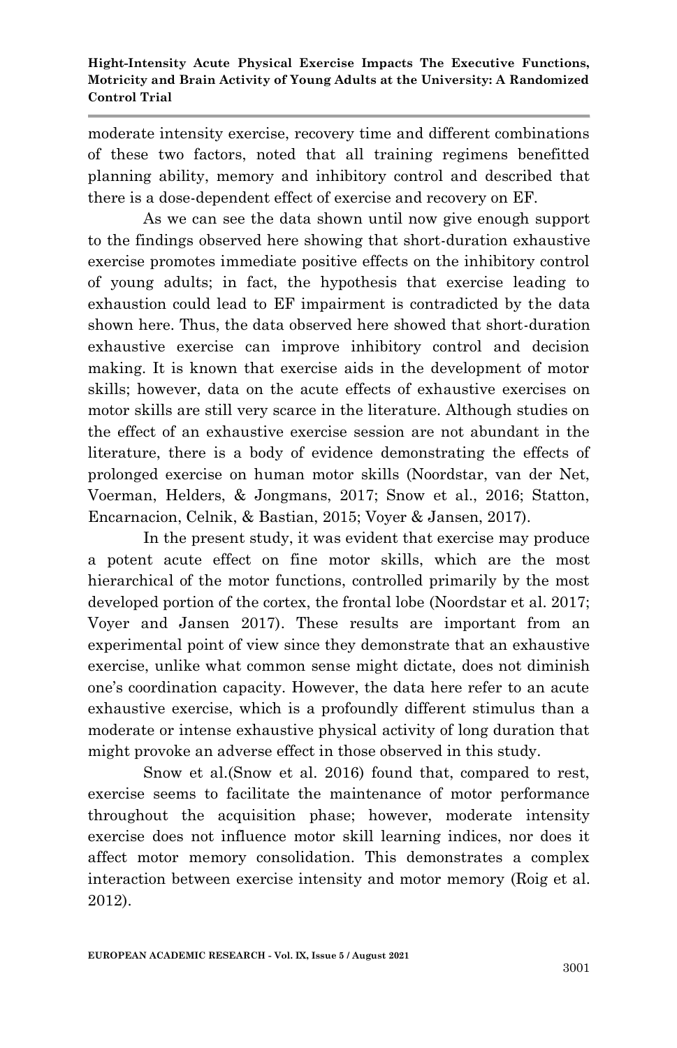moderate intensity exercise, recovery time and different combinations of these two factors, noted that all training regimens benefitted planning ability, memory and inhibitory control and described that there is a dose-dependent effect of exercise and recovery on EF.

As we can see the data shown until now give enough support to the findings observed here showing that short-duration exhaustive exercise promotes immediate positive effects on the inhibitory control of young adults; in fact, the hypothesis that exercise leading to exhaustion could lead to EF impairment is contradicted by the data shown here. Thus, the data observed here showed that short-duration exhaustive exercise can improve inhibitory control and decision making. It is known that exercise aids in the development of motor skills; however, data on the acute effects of exhaustive exercises on motor skills are still very scarce in the literature. Although studies on the effect of an exhaustive exercise session are not abundant in the literature, there is a body of evidence demonstrating the effects of prolonged exercise on human motor skills (Noordstar, van der Net, Voerman, Helders, & Jongmans, 2017; Snow et al., 2016; Statton, Encarnacion, Celnik, & Bastian, 2015; Voyer & Jansen, 2017).

In the present study, it was evident that exercise may produce a potent acute effect on fine motor skills, which are the most hierarchical of the motor functions, controlled primarily by the most developed portion of the cortex, the frontal lobe (Noordstar et al. 2017; Voyer and Jansen 2017). These results are important from an experimental point of view since they demonstrate that an exhaustive exercise, unlike what common sense might dictate, does not diminish one's coordination capacity. However, the data here refer to an acute exhaustive exercise, which is a profoundly different stimulus than a moderate or intense exhaustive physical activity of long duration that might provoke an adverse effect in those observed in this study.

Snow et al.(Snow et al. 2016) found that, compared to rest, exercise seems to facilitate the maintenance of motor performance throughout the acquisition phase; however, moderate intensity exercise does not influence motor skill learning indices, nor does it affect motor memory consolidation. This demonstrates a complex interaction between exercise intensity and motor memory (Roig et al. 2012).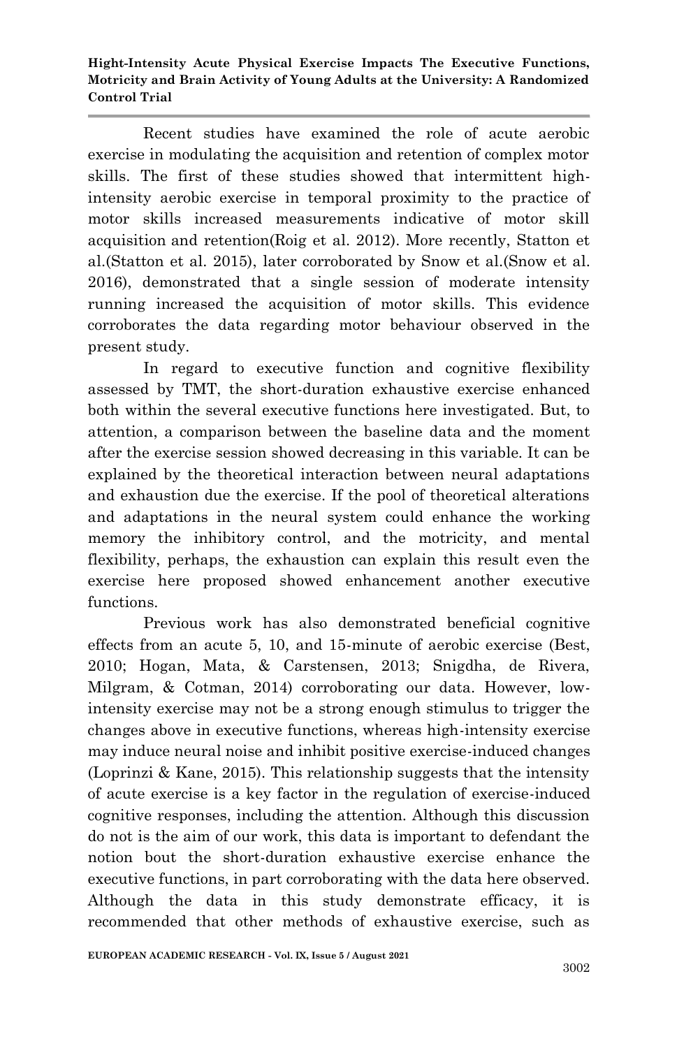Recent studies have examined the role of acute aerobic exercise in modulating the acquisition and retention of complex motor skills. The first of these studies showed that intermittent highintensity aerobic exercise in temporal proximity to the practice of motor skills increased measurements indicative of motor skill acquisition and retention(Roig et al. 2012). More recently, Statton et al.(Statton et al. 2015), later corroborated by Snow et al.(Snow et al. 2016), demonstrated that a single session of moderate intensity running increased the acquisition of motor skills. This evidence corroborates the data regarding motor behaviour observed in the present study.

In regard to executive function and cognitive flexibility assessed by TMT, the short-duration exhaustive exercise enhanced both within the several executive functions here investigated. But, to attention, a comparison between the baseline data and the moment after the exercise session showed decreasing in this variable. It can be explained by the theoretical interaction between neural adaptations and exhaustion due the exercise. If the pool of theoretical alterations and adaptations in the neural system could enhance the working memory the inhibitory control, and the motricity, and mental flexibility, perhaps, the exhaustion can explain this result even the exercise here proposed showed enhancement another executive functions.

Previous work has also demonstrated beneficial cognitive effects from an acute 5, 10, and 15-minute of aerobic exercise (Best, 2010; Hogan, Mata, & Carstensen, 2013; Snigdha, de Rivera, Milgram, & Cotman, 2014) corroborating our data. However, lowintensity exercise may not be a strong enough stimulus to trigger the changes above in executive functions, whereas high-intensity exercise may induce neural noise and inhibit positive exercise-induced changes (Loprinzi & Kane, 2015). This relationship suggests that the intensity of acute exercise is a key factor in the regulation of exercise-induced cognitive responses, including the attention. Although this discussion do not is the aim of our work, this data is important to defendant the notion bout the short-duration exhaustive exercise enhance the executive functions, in part corroborating with the data here observed. Although the data in this study demonstrate efficacy, it is recommended that other methods of exhaustive exercise, such as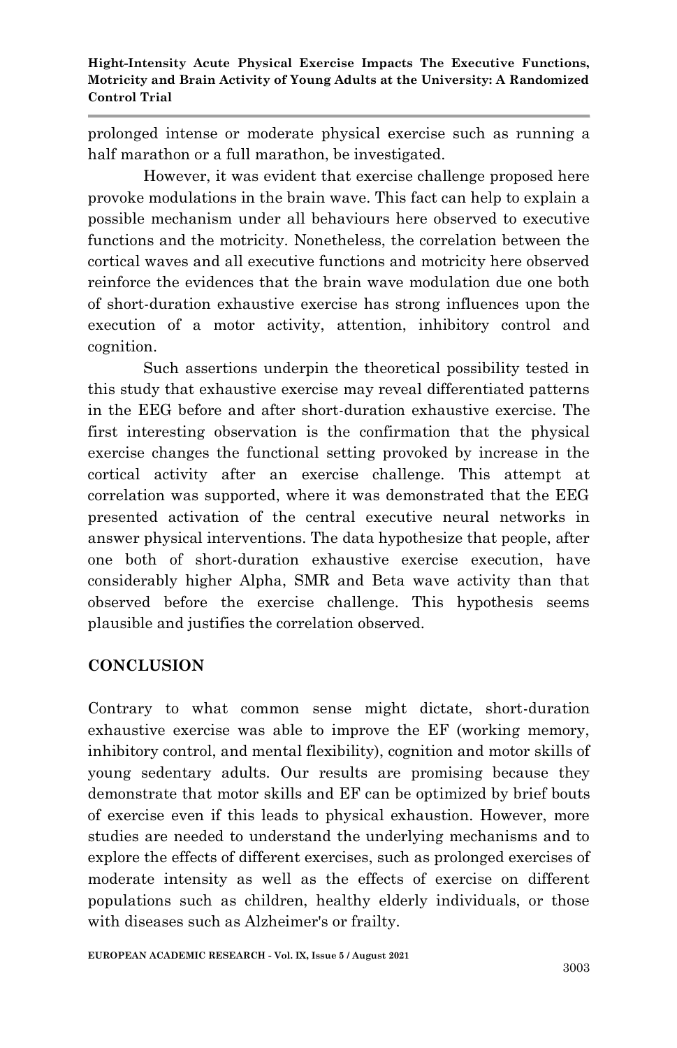prolonged intense or moderate physical exercise such as running a half marathon or a full marathon, be investigated.

However, it was evident that exercise challenge proposed here provoke modulations in the brain wave. This fact can help to explain a possible mechanism under all behaviours here observed to executive functions and the motricity. Nonetheless, the correlation between the cortical waves and all executive functions and motricity here observed reinforce the evidences that the brain wave modulation due one both of short-duration exhaustive exercise has strong influences upon the execution of a motor activity, attention, inhibitory control and cognition.

Such assertions underpin the theoretical possibility tested in this study that exhaustive exercise may reveal differentiated patterns in the EEG before and after short-duration exhaustive exercise. The first interesting observation is the confirmation that the physical exercise changes the functional setting provoked by increase in the cortical activity after an exercise challenge. This attempt at correlation was supported, where it was demonstrated that the EEG presented activation of the central executive neural networks in answer physical interventions. The data hypothesize that people, after one both of short-duration exhaustive exercise execution, have considerably higher Alpha, SMR and Beta wave activity than that observed before the exercise challenge. This hypothesis seems plausible and justifies the correlation observed.

## **CONCLUSION**

Contrary to what common sense might dictate, short-duration exhaustive exercise was able to improve the EF (working memory, inhibitory control, and mental flexibility), cognition and motor skills of young sedentary adults. Our results are promising because they demonstrate that motor skills and EF can be optimized by brief bouts of exercise even if this leads to physical exhaustion. However, more studies are needed to understand the underlying mechanisms and to explore the effects of different exercises, such as prolonged exercises of moderate intensity as well as the effects of exercise on different populations such as children, healthy elderly individuals, or those with diseases such as Alzheimer's or frailty.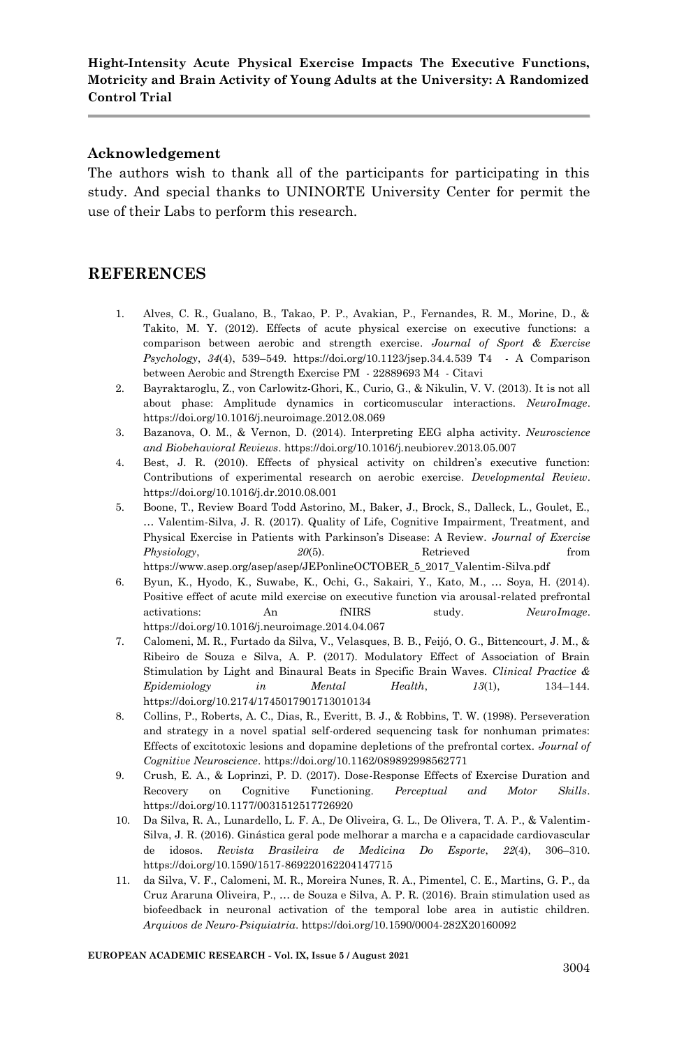#### **Acknowledgement**

The authors wish to thank all of the participants for participating in this study. And special thanks to UNINORTE University Center for permit the use of their Labs to perform this research.

## **REFERENCES**

- 1. Alves, C. R., Gualano, B., Takao, P. P., Avakian, P., Fernandes, R. M., Morine, D., & Takito, M. Y. (2012). Effects of acute physical exercise on executive functions: a comparison between aerobic and strength exercise. *Journal of Sport & Exercise Psychology*, *34*(4), 539–549. https://doi.org/10.1123/jsep.34.4.539 T4 - A Comparison between Aerobic and Strength Exercise PM - 22889693 M4 - Citavi
- 2. Bayraktaroglu, Z., von Carlowitz-Ghori, K., Curio, G., & Nikulin, V. V. (2013). It is not all about phase: Amplitude dynamics in corticomuscular interactions. *NeuroImage*. https://doi.org/10.1016/j.neuroimage.2012.08.069
- 3. Bazanova, O. M., & Vernon, D. (2014). Interpreting EEG alpha activity. *Neuroscience and Biobehavioral Reviews*. https://doi.org/10.1016/j.neubiorev.2013.05.007
- 4. Best, J. R. (2010). Effects of physical activity on children's executive function: Contributions of experimental research on aerobic exercise. *Developmental Review*. https://doi.org/10.1016/j.dr.2010.08.001
- 5. Boone, T., Review Board Todd Astorino, M., Baker, J., Brock, S., Dalleck, L., Goulet, E., … Valentim-Silva, J. R. (2017). Quality of Life, Cognitive Impairment, Treatment, and Physical Exercise in Patients with Parkinson's Disease: A Review. *Journal of Exercise Physiology*, 20(5). Retrieved from https://www.asep.org/asep/asep/JEPonlineOCTOBER\_5\_2017\_Valentim-Silva.pdf
- 6. Byun, K., Hyodo, K., Suwabe, K., Ochi, G., Sakairi, Y., Kato, M., … Soya, H. (2014). Positive effect of acute mild exercise on executive function via arousal-related prefrontal activations: An fNIRS study. *NeuroImage*. https://doi.org/10.1016/j.neuroimage.2014.04.067
- 7. Calomeni, M. R., Furtado da Silva, V., Velasques, B. B., Feijó, O. G., Bittencourt, J. M., & Ribeiro de Souza e Silva, A. P. (2017). Modulatory Effect of Association of Brain Stimulation by Light and Binaural Beats in Specific Brain Waves. *Clinical Practice & Epidemiology in Mental Health*, *13*(1), 134–144. https://doi.org/10.2174/1745017901713010134
- 8. Collins, P., Roberts, A. C., Dias, R., Everitt, B. J., & Robbins, T. W. (1998). Perseveration and strategy in a novel spatial self-ordered sequencing task for nonhuman primates: Effects of excitotoxic lesions and dopamine depletions of the prefrontal cortex. *Journal of Cognitive Neuroscience*. https://doi.org/10.1162/089892998562771
- 9. Crush, E. A., & Loprinzi, P. D. (2017). Dose-Response Effects of Exercise Duration and Recovery on Cognitive Functioning. *Perceptual and Motor Skills*. https://doi.org/10.1177/0031512517726920
- 10. Da Silva, R. A., Lunardello, L. F. A., De Oliveira, G. L., De Olivera, T. A. P., & Valentim-Silva, J. R. (2016). Ginástica geral pode melhorar a marcha e a capacidade cardiovascular de idosos. *Revista Brasileira de Medicina Do Esporte*, *22*(4), 306–310. https://doi.org/10.1590/1517-869220162204147715
- 11. da Silva, V. F., Calomeni, M. R., Moreira Nunes, R. A., Pimentel, C. E., Martins, G. P., da Cruz Araruna Oliveira, P., … de Souza e Silva, A. P. R. (2016). Brain stimulation used as biofeedback in neuronal activation of the temporal lobe area in autistic children. *Arquivos de Neuro-Psiquiatria*. https://doi.org/10.1590/0004-282X20160092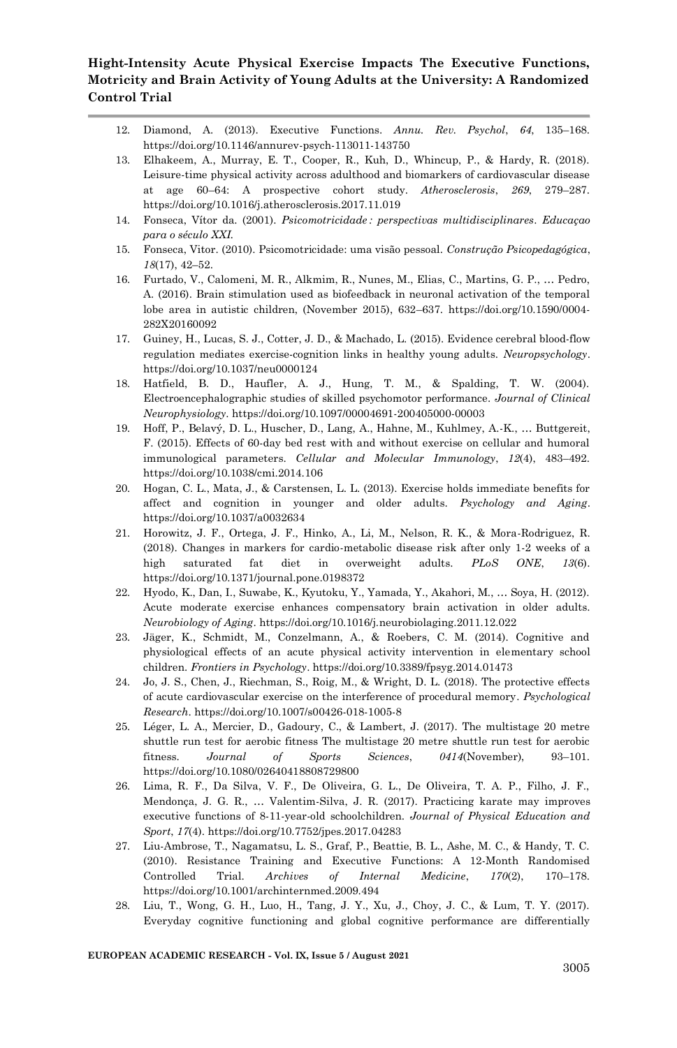- 12. Diamond, A. (2013). Executive Functions. *Annu. Rev. Psychol*, *64*, 135–168. https://doi.org/10.1146/annurev-psych-113011-143750
- 13. Elhakeem, A., Murray, E. T., Cooper, R., Kuh, D., Whincup, P., & Hardy, R. (2018). Leisure-time physical activity across adulthood and biomarkers of cardiovascular disease at age 60–64: A prospective cohort study. *Atherosclerosis*, *269*, 279–287. https://doi.org/10.1016/j.atherosclerosis.2017.11.019
- 14. Fonseca, Vítor da. (2001). *Psicomotricidade : perspectivas multidisciplinares*. *Educaçao para o século XXI.*
- 15. Fonseca, Vitor. (2010). Psicomotricidade: uma visão pessoal. *Construção Psicopedagógica*, *18*(17), 42–52.
- 16. Furtado, V., Calomeni, M. R., Alkmim, R., Nunes, M., Elias, C., Martins, G. P., … Pedro, A. (2016). Brain stimulation used as biofeedback in neuronal activation of the temporal lobe area in autistic children, (November 2015), 632–637. https://doi.org/10.1590/0004- 282X20160092
- 17. Guiney, H., Lucas, S. J., Cotter, J. D., & Machado, L. (2015). Evidence cerebral blood-flow regulation mediates exercise-cognition links in healthy young adults. *Neuropsychology*. https://doi.org/10.1037/neu0000124
- 18. Hatfield, B. D., Haufler, A. J., Hung, T. M., & Spalding, T. W. (2004). Electroencephalographic studies of skilled psychomotor performance. *Journal of Clinical Neurophysiology*. https://doi.org/10.1097/00004691-200405000-00003
- 19. Hoff, P., Belavý, D. L., Huscher, D., Lang, A., Hahne, M., Kuhlmey, A.-K., … Buttgereit, F. (2015). Effects of 60-day bed rest with and without exercise on cellular and humoral immunological parameters. *Cellular and Molecular Immunology*, *12*(4), 483–492. https://doi.org/10.1038/cmi.2014.106
- 20. Hogan, C. L., Mata, J., & Carstensen, L. L. (2013). Exercise holds immediate benefits for affect and cognition in younger and older adults. *Psychology and Aging*. https://doi.org/10.1037/a0032634
- 21. Horowitz, J. F., Ortega, J. F., Hinko, A., Li, M., Nelson, R. K., & Mora-Rodriguez, R. (2018). Changes in markers for cardio-metabolic disease risk after only 1-2 weeks of a high saturated fat diet in overweight adults. *PLoS ONE*, *13*(6). https://doi.org/10.1371/journal.pone.0198372
- 22. Hyodo, K., Dan, I., Suwabe, K., Kyutoku, Y., Yamada, Y., Akahori, M., … Soya, H. (2012). Acute moderate exercise enhances compensatory brain activation in older adults. *Neurobiology of Aging*. https://doi.org/10.1016/j.neurobiolaging.2011.12.022
- 23. Jäger, K., Schmidt, M., Conzelmann, A., & Roebers, C. M. (2014). Cognitive and physiological effects of an acute physical activity intervention in elementary school children. *Frontiers in Psychology*. https://doi.org/10.3389/fpsyg.2014.01473
- 24. Jo, J. S., Chen, J., Riechman, S., Roig, M., & Wright, D. L. (2018). The protective effects of acute cardiovascular exercise on the interference of procedural memory. *Psychological Research*. https://doi.org/10.1007/s00426-018-1005-8
- 25. Léger, L. A., Mercier, D., Gadoury, C., & Lambert, J. (2017). The multistage 20 metre shuttle run test for aerobic fitness The multistage 20 metre shuttle run test for aerobic fitness. *Journal of Sports Sciences*, *0414*(November), 93–101. https://doi.org/10.1080/02640418808729800
- 26. Lima, R. F., Da Silva, V. F., De Oliveira, G. L., De Oliveira, T. A. P., Filho, J. F., Mendonça, J. G. R., … Valentim-Silva, J. R. (2017). Practicing karate may improves executive functions of 8-11-year-old schoolchildren. *Journal of Physical Education and Sport*, *17*(4). https://doi.org/10.7752/jpes.2017.04283
- 27. Liu-Ambrose, T., Nagamatsu, L. S., Graf, P., Beattie, B. L., Ashe, M. C., & Handy, T. C. (2010). Resistance Training and Executive Functions: A 12-Month Randomised Controlled Trial. *Archives of Internal Medicine*, *170*(2), 170–178. https://doi.org/10.1001/archinternmed.2009.494
- 28. Liu, T., Wong, G. H., Luo, H., Tang, J. Y., Xu, J., Choy, J. C., & Lum, T. Y. (2017). Everyday cognitive functioning and global cognitive performance are differentially

#### **EUROPEAN ACADEMIC RESEARCH - Vol. IX, Issue 5 / August 2021**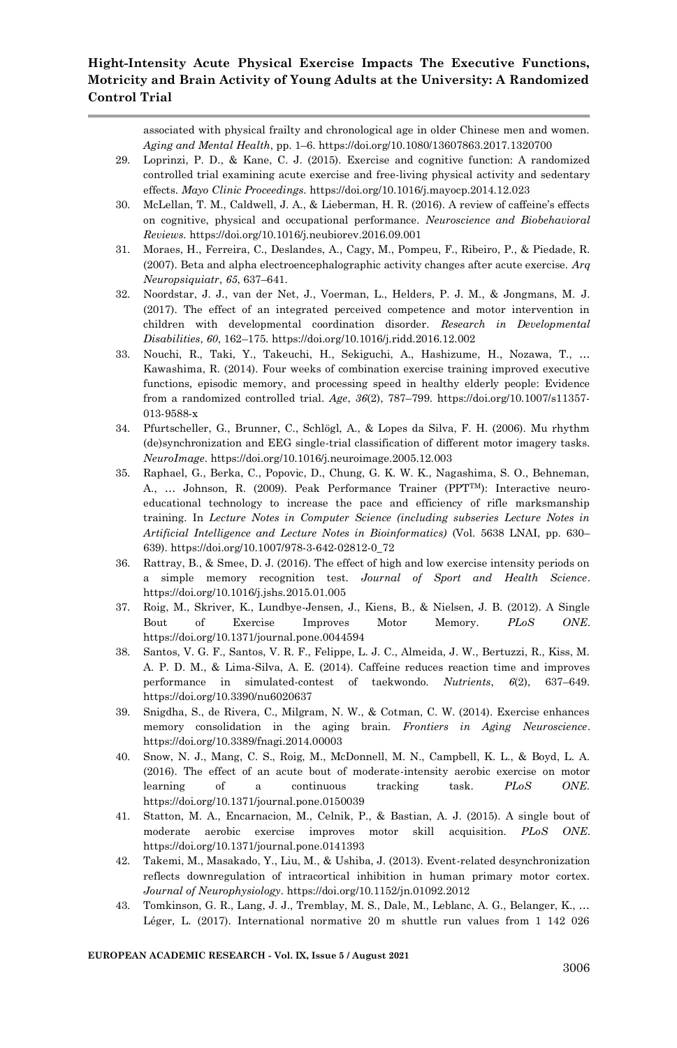associated with physical frailty and chronological age in older Chinese men and women. *Aging and Mental Health*, pp. 1–6. https://doi.org/10.1080/13607863.2017.1320700

- 29. Loprinzi, P. D., & Kane, C. J. (2015). Exercise and cognitive function: A randomized controlled trial examining acute exercise and free-living physical activity and sedentary effects. *Mayo Clinic Proceedings*. https://doi.org/10.1016/j.mayocp.2014.12.023
- 30. McLellan, T. M., Caldwell, J. A., & Lieberman, H. R. (2016). A review of caffeine's effects on cognitive, physical and occupational performance. *Neuroscience and Biobehavioral Reviews*. https://doi.org/10.1016/j.neubiorev.2016.09.001
- 31. Moraes, H., Ferreira, C., Deslandes, A., Cagy, M., Pompeu, F., Ribeiro, P., & Piedade, R. (2007). Beta and alpha electroencephalographic activity changes after acute exercise. *Arq Neuropsiquiatr*, *65*, 637–641.
- 32. Noordstar, J. J., van der Net, J., Voerman, L., Helders, P. J. M., & Jongmans, M. J. (2017). The effect of an integrated perceived competence and motor intervention in children with developmental coordination disorder. *Research in Developmental Disabilities*, *60*, 162–175. https://doi.org/10.1016/j.ridd.2016.12.002
- 33. Nouchi, R., Taki, Y., Takeuchi, H., Sekiguchi, A., Hashizume, H., Nozawa, T., … Kawashima, R. (2014). Four weeks of combination exercise training improved executive functions, episodic memory, and processing speed in healthy elderly people: Evidence from a randomized controlled trial. *Age*, *36*(2), 787–799. https://doi.org/10.1007/s11357- 013-9588-x
- 34. Pfurtscheller, G., Brunner, C., Schlögl, A., & Lopes da Silva, F. H. (2006). Mu rhythm (de)synchronization and EEG single-trial classification of different motor imagery tasks. *NeuroImage*. https://doi.org/10.1016/j.neuroimage.2005.12.003
- 35. Raphael, G., Berka, C., Popovic, D., Chung, G. K. W. K., Nagashima, S. O., Behneman, A., … Johnson, R. (2009). Peak Performance Trainer (PPTTM): Interactive neuroeducational technology to increase the pace and efficiency of rifle marksmanship training. In *Lecture Notes in Computer Science (including subseries Lecture Notes in Artificial Intelligence and Lecture Notes in Bioinformatics)* (Vol. 5638 LNAI, pp. 630– 639). https://doi.org/10.1007/978-3-642-02812-0\_72
- 36. Rattray, B., & Smee, D. J. (2016). The effect of high and low exercise intensity periods on a simple memory recognition test. *Journal of Sport and Health Science*. https://doi.org/10.1016/j.jshs.2015.01.005
- 37. Roig, M., Skriver, K., Lundbye-Jensen, J., Kiens, B., & Nielsen, J. B. (2012). A Single Bout of Exercise Improves Motor Memory. *PLoS ONE*. https://doi.org/10.1371/journal.pone.0044594
- 38. Santos, V. G. F., Santos, V. R. F., Felippe, L. J. C., Almeida, J. W., Bertuzzi, R., Kiss, M. A. P. D. M., & Lima-Silva, A. E. (2014). Caffeine reduces reaction time and improves performance in simulated-contest of taekwondo. *Nutrients*, *6*(2), 637–649. https://doi.org/10.3390/nu6020637
- 39. Snigdha, S., de Rivera, C., Milgram, N. W., & Cotman, C. W. (2014). Exercise enhances memory consolidation in the aging brain. *Frontiers in Aging Neuroscience*. https://doi.org/10.3389/fnagi.2014.00003
- 40. Snow, N. J., Mang, C. S., Roig, M., McDonnell, M. N., Campbell, K. L., & Boyd, L. A. (2016). The effect of an acute bout of moderate-intensity aerobic exercise on motor learning of a continuous tracking task. *PLoS ONE*. https://doi.org/10.1371/journal.pone.0150039
- 41. Statton, M. A., Encarnacion, M., Celnik, P., & Bastian, A. J. (2015). A single bout of moderate aerobic exercise improves motor skill acquisition. *PLoS ONE*. https://doi.org/10.1371/journal.pone.0141393
- 42. Takemi, M., Masakado, Y., Liu, M., & Ushiba, J. (2013). Event-related desynchronization reflects downregulation of intracortical inhibition in human primary motor cortex. *Journal of Neurophysiology*. https://doi.org/10.1152/jn.01092.2012
- 43. Tomkinson, G. R., Lang, J. J., Tremblay, M. S., Dale, M., Leblanc, A. G., Belanger, K., … Léger, L. (2017). International normative 20 m shuttle run values from 1 142 026

#### **EUROPEAN ACADEMIC RESEARCH - Vol. IX, Issue 5 / August 2021**